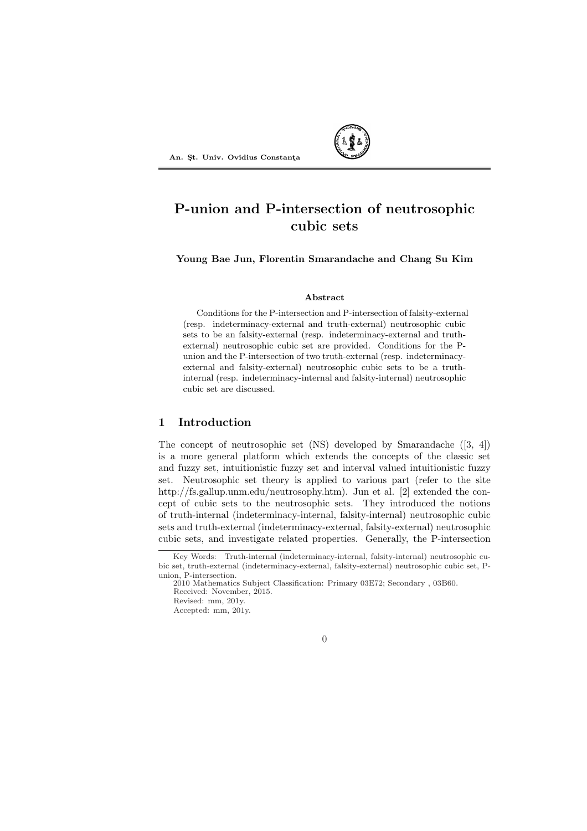

# P-union and P-intersection of neutrosophic cubic sets

Young Bae Jun, Florentin Smarandache and Chang Su Kim

## Abstract

Conditions for the P-intersection and P-intersection of falsity-external (resp. indeterminacy-external and truth-external) neutrosophic cubic sets to be an falsity-external (resp. indeterminacy-external and truthexternal) neutrosophic cubic set are provided. Conditions for the Punion and the P-intersection of two truth-external (resp. indeterminacyexternal and falsity-external) neutrosophic cubic sets to be a truthinternal (resp. indeterminacy-internal and falsity-internal) neutrosophic cubic set are discussed.

# 1 Introduction

The concept of neutrosophic set (NS) developed by Smarandache ([3, 4]) is a more general platform which extends the concepts of the classic set and fuzzy set, intuitionistic fuzzy set and interval valued intuitionistic fuzzy set. Neutrosophic set theory is applied to various part (refer to the site http://fs.gallup.unm.edu/neutrosophy.htm). Jun et al. [2] extended the concept of cubic sets to the neutrosophic sets. They introduced the notions of truth-internal (indeterminacy-internal, falsity-internal) neutrosophic cubic sets and truth-external (indeterminacy-external, falsity-external) neutrosophic cubic sets, and investigate related properties. Generally, the P-intersection



Key Words: Truth-internal (indeterminacy-internal, falsity-internal) neutrosophic cubic set, truth-external (indeterminacy-external, falsity-external) neutrosophic cubic set, Punion, P-intersection.

<sup>2010</sup> Mathematics Subject Classification: Primary 03E72; Secondary , 03B60. Received: November, 2015. Revised: mm, 201y.

Accepted: mm, 201y.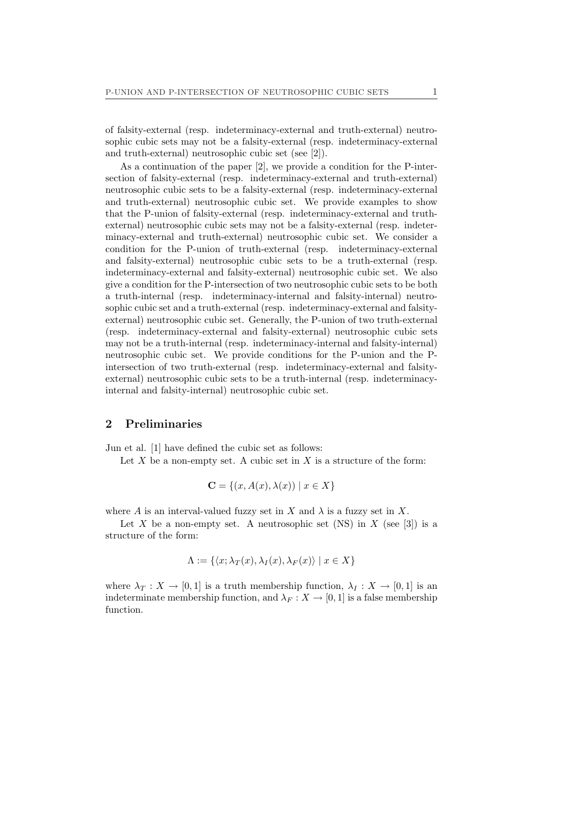of falsity-external (resp. indeterminacy-external and truth-external) neutrosophic cubic sets may not be a falsity-external (resp. indeterminacy-external and truth-external) neutrosophic cubic set (see [2]).

As a continuation of the paper [2], we provide a condition for the P-intersection of falsity-external (resp. indeterminacy-external and truth-external) neutrosophic cubic sets to be a falsity-external (resp. indeterminacy-external and truth-external) neutrosophic cubic set. We provide examples to show that the P-union of falsity-external (resp. indeterminacy-external and truthexternal) neutrosophic cubic sets may not be a falsity-external (resp. indeterminacy-external and truth-external) neutrosophic cubic set. We consider a condition for the P-union of truth-external (resp. indeterminacy-external and falsity-external) neutrosophic cubic sets to be a truth-external (resp. indeterminacy-external and falsity-external) neutrosophic cubic set. We also give a condition for the P-intersection of two neutrosophic cubic sets to be both a truth-internal (resp. indeterminacy-internal and falsity-internal) neutrosophic cubic set and a truth-external (resp. indeterminacy-external and falsityexternal) neutrosophic cubic set. Generally, the P-union of two truth-external (resp. indeterminacy-external and falsity-external) neutrosophic cubic sets may not be a truth-internal (resp. indeterminacy-internal and falsity-internal) neutrosophic cubic set. We provide conditions for the P-union and the Pintersection of two truth-external (resp. indeterminacy-external and falsityexternal) neutrosophic cubic sets to be a truth-internal (resp. indeterminacyinternal and falsity-internal) neutrosophic cubic set.

#### 2 Preliminaries

Jun et al. [1] have defined the cubic set as follows:

Let  $X$  be a non-empty set. A cubic set in  $X$  is a structure of the form:

$$
\mathbf{C} = \{(x, A(x), \lambda(x)) \mid x \in X\}
$$

where A is an interval-valued fuzzy set in X and  $\lambda$  is a fuzzy set in X.

Let X be a non-empty set. A neutrosophic set (NS) in X (see [3]) is a structure of the form:

$$
\Lambda := \{ \langle x; \lambda_T(x), \lambda_I(x), \lambda_F(x) \rangle \mid x \in X \}
$$

where  $\lambda_T : X \to [0,1]$  is a truth membership function,  $\lambda_I : X \to [0,1]$  is an indeterminate membership function, and  $\lambda_F : X \to [0,1]$  is a false membership function.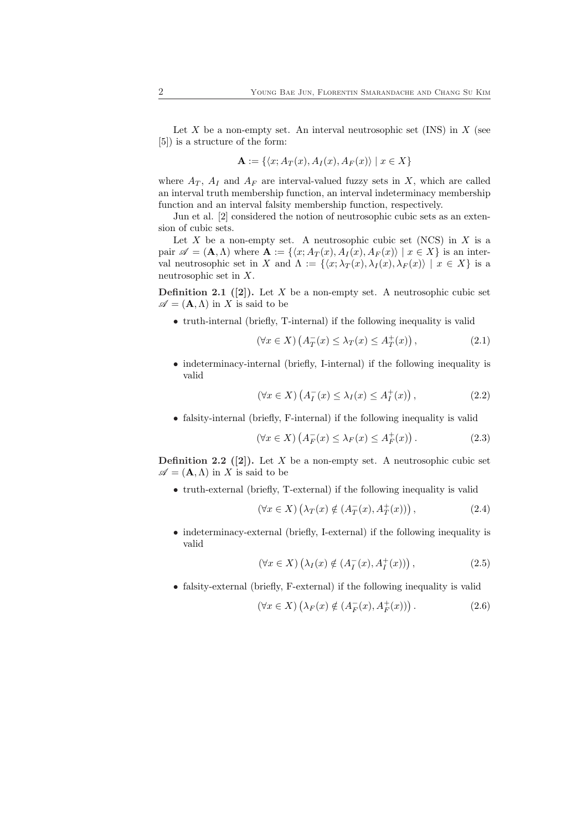Let X be a non-empty set. An interval neutrosophic set  $(INS)$  in X (see [5]) is a structure of the form:

$$
\mathbf{A} := \{ \langle x; A_T(x), A_I(x), A_F(x) \rangle \mid x \in X \}
$$

where  $A_T$ ,  $A_I$  and  $A_F$  are interval-valued fuzzy sets in X, which are called an interval truth membership function, an interval indeterminacy membership function and an interval falsity membership function, respectively.

Jun et al. [2] considered the notion of neutrosophic cubic sets as an extension of cubic sets.

Let X be a non-empty set. A neutrosophic cubic set (NCS) in X is a pair  $\mathscr{A} = (\mathbf{A}, \Lambda)$  where  $\mathbf{A} := \{ \langle x; A_T (x), A_I (x), A_F (x) \rangle \mid x \in X \}$  is an interval neutrosophic set in X and  $\Lambda := \{\langle x; \lambda_T (x), \lambda_I (x), \lambda_F (x) \rangle \mid x \in X\}$  is a neutrosophic set in X.

**Definition 2.1** ([2]). Let X be a non-empty set. A neutrosophic cubic set  $\mathscr{A} = (\mathbf{A}, \Lambda)$  in X is said to be

• truth-internal (briefly, T-internal) if the following inequality is valid

$$
(\forall x \in X) \left( A_T^-(x) \le \lambda_T(x) \le A_T^+(x) \right), \tag{2.1}
$$

• indeterminacy-internal (briefly, I-internal) if the following inequality is valid

$$
(\forall x \in X) \left( A_I^-(x) \le \lambda_I(x) \le A_I^+(x) \right), \tag{2.2}
$$

• falsity-internal (briefly, F-internal) if the following inequality is valid

$$
(\forall x \in X) \left( A_F^-(x) \le \lambda_F(x) \le A_F^+(x) \right). \tag{2.3}
$$

**Definition 2.2** ([2]). Let X be a non-empty set. A neutrosophic cubic set  $\mathscr{A} = (\mathbf{A}, \Lambda)$  in X is said to be

• truth-external (briefly, T-external) if the following inequality is valid

$$
(\forall x \in X) \left(\lambda_T(x) \notin (A_T^-(x), A_T^+(x))\right),\tag{2.4}
$$

• indeterminacy-external (briefly, I-external) if the following inequality is valid

$$
(\forall x \in X) \left(\lambda_I(x) \notin (A_I^-(x), A_I^+(x))\right),\tag{2.5}
$$

• falsity-external (briefly, F-external) if the following inequality is valid

$$
(\forall x \in X) \left(\lambda_F(x) \notin (A_F^-(x), A_F^+(x))\right). \tag{2.6}
$$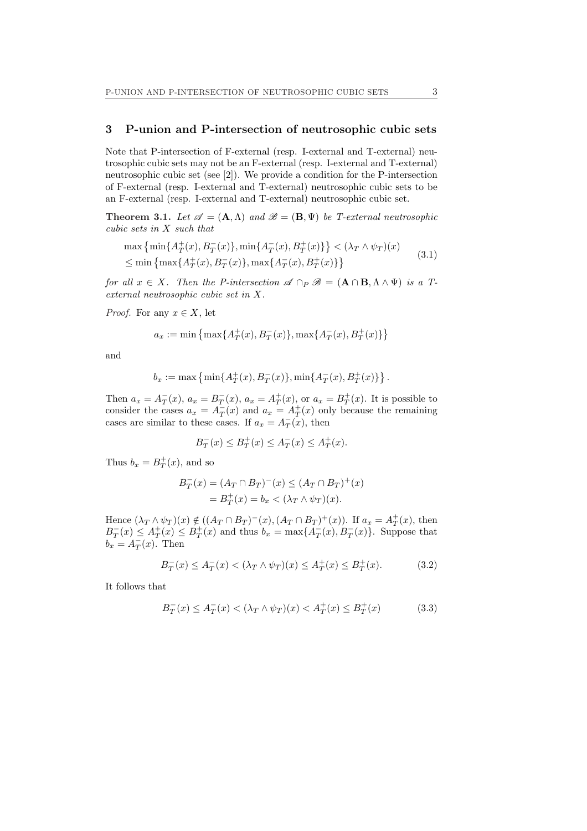# 3 P-union and P-intersection of neutrosophic cubic sets

Note that P-intersection of F-external (resp. I-external and T-external) neutrosophic cubic sets may not be an F-external (resp. I-external and T-external) neutrosophic cubic set (see [2]). We provide a condition for the P-intersection of F-external (resp. I-external and T-external) neutrosophic cubic sets to be an F-external (resp. I-external and T-external) neutrosophic cubic set.

**Theorem 3.1.** Let  $\mathscr{A} = (\mathbf{A}, \Lambda)$  and  $\mathscr{B} = (\mathbf{B}, \Psi)$  be T-external neutrosophic cubic sets in X such that

$$
\max\left\{\min\{A_T^+(x), B_T^-(x)\}, \min\{A_T^-(x), B_T^+(x)\}\right\} < (\lambda_T \wedge \psi_T)(x)
$$
  
\$\leq\$ 
$$
\min\left\{\max\{A_T^+(x), B_T^-(x)\}, \max\{A_T^-(x), B_T^+(x)\}\right\}
$$
 (3.1)

for all  $x \in X$ . Then the P-intersection  $\mathscr{A} \cap_P \mathscr{B} = (\mathbf{A} \cap \mathbf{B}, \Lambda \wedge \Psi)$  is a Texternal neutrosophic cubic set in X.

*Proof.* For any  $x \in X$ , let

$$
a_x := \min\left\{\max\{A_T^+(x), B_T^-(x)\}, \max\{A_T^-(x), B_T^+(x)\}\right\}
$$

and

$$
b_x := \max \left\{ \min \{ A_T^+(x), B_T^-(x) \}, \min \{ A_T^-(x), B_T^+(x) \} \right\}.
$$

Then  $a_x = A_T^-(x)$ ,  $a_x = B_T^-(x)$ ,  $a_x = A_T^+(x)$ , or  $a_x = B_T^+(x)$ . It is possible to consider the cases  $a_x = A_T^-(x)$  and  $a_x = A_T^+(x)$  only because the remaining cases are similar to these cases. If  $a_x = A_T^-(x)$ , then

$$
B_T^-(x) \le B_T^+(x) \le A_T^-(x) \le A_T^+(x).
$$

Thus  $b_x = B_T^+(x)$ , and so

$$
B_T^-(x) = (A_T \cap B_T)^-(x) \le (A_T \cap B_T)^+(x) = B_T^+(x) = b_x < (\lambda_T \wedge \psi_T)(x).
$$

Hence  $(\lambda_T \wedge \psi_T)(x) \notin ((A_T \cap B_T)^{-(x)}, (A_T \cap B_T)^{+(x)})$ . If  $a_x = A_T^{+(x)}$ , then  $B_T^-(x) \leq A_T^+(x) \leq B_T^+(x)$  and thus  $b_x = \max\{A_T^-(x), B_T^-(x)\}$ . Suppose that  $b_x = A_T^-(x)$ . Then

$$
B_T^-(x) \le A_T^-(x) < (\lambda_T \wedge \psi_T)(x) \le A_T^+(x) \le B_T^+(x). \tag{3.2}
$$

It follows that

$$
B_T^-(x) \le A_T^-(x) < (\lambda_T \wedge \psi_T)(x) < A_T^+(x) \le B_T^+(x) \tag{3.3}
$$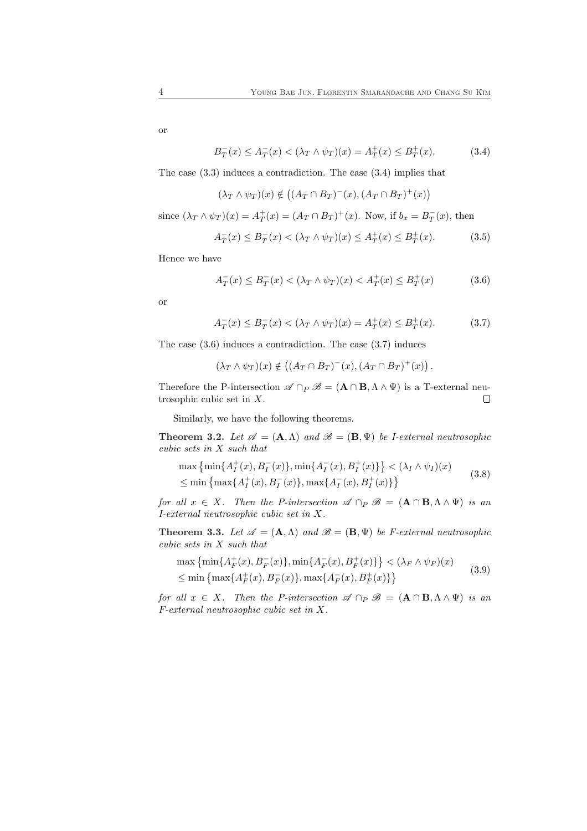or

$$
B_T^-(x) \le A_T^-(x) < (\lambda_T \wedge \psi_T)(x) = A_T^+(x) \le B_T^+(x). \tag{3.4}
$$

The case (3.3) induces a contradiction. The case (3.4) implies that

$$
(\lambda_T \wedge \psi_T)(x) \notin ((A_T \cap B_T)^{-}(x), (A_T \cap B_T)^{+}(x))
$$

since  $(\lambda_T \wedge \psi_T)(x) = A_T^+(x) = (A_T \cap B_T)^+(x)$ . Now, if  $b_x = B_T^-(x)$ , then

$$
A_T^-(x) \le B_T^-(x) < (\lambda_T \wedge \psi_T)(x) \le A_T^+(x) \le B_T^+(x). \tag{3.5}
$$

Hence we have

$$
A_T^-(x) \le B_T^-(x) < (\lambda_T \wedge \psi_T)(x) < A_T^+(x) \le B_T^+(x) \tag{3.6}
$$

or

$$
A_T^-(x) \le B_T^-(x) < (\lambda_T \wedge \psi_T)(x) = A_T^+(x) \le B_T^+(x). \tag{3.7}
$$

The case (3.6) induces a contradiction. The case (3.7) induces

$$
(\lambda_T \wedge \psi_T)(x) \notin ((A_T \cap B_T)^{-1}(x), (A_T \cap B_T)^{+1}(x)).
$$

Therefore the P-intersection  $\mathscr{A} \cap_P \mathscr{B} = (\mathbf{A} \cap \mathbf{B}, \Lambda \wedge \Psi)$  is a T-external neutrosophic cubic set in X.  $\Box$ 

Similarly, we have the following theorems.

**Theorem 3.2.** Let  $\mathscr{A} = (\mathbf{A}, \Lambda)$  and  $\mathscr{B} = (\mathbf{B}, \Psi)$  be *I-external neutrosophic* cubic sets in X such that

$$
\max\left\{\min\{A_I^+(x), B_I^-(x)\}, \min\{A_I^-(x), B_I^+(x)\}\right\} < (\lambda_I \wedge \psi_I)(x)
$$
  
\$\leq\$ 
$$
\min\left\{\max\{A_I^+(x), B_I^-(x)\}, \max\{A_I^-(x), B_I^+(x)\}\right\}
$$
 (3.8)

for all  $x \in X$ . Then the P-intersection  $\mathscr{A} \cap_P \mathscr{B} = (\mathbf{A} \cap \mathbf{B}, \Lambda \wedge \Psi)$  is an I-external neutrosophic cubic set in X.

**Theorem 3.3.** Let  $\mathscr{A} = (\mathbf{A}, \Lambda)$  and  $\mathscr{B} = (\mathbf{B}, \Psi)$  be *F*-external neutrosophic cubic sets in X such that ª

$$
\max\left\{\min\{A_F^+(x), B_F^-(x)\}, \min\{A_F^-(x), B_F^+(x)\}\right\} < (\lambda_F \wedge \psi_F)(x)
$$
  
\$\leq\$ 
$$
\min\left\{\max\{A_F^+(x), B_F^-(x)\}, \max\{A_F^-(x), B_F^+(x)\}\right\}
$$
 (3.9)

for all  $x \in X$ . Then the P-intersection  $\mathscr{A} \cap P \mathscr{B} = (\mathbf{A} \cap \mathbf{B}, \Lambda \wedge \Psi)$  is an F-external neutrosophic cubic set in X.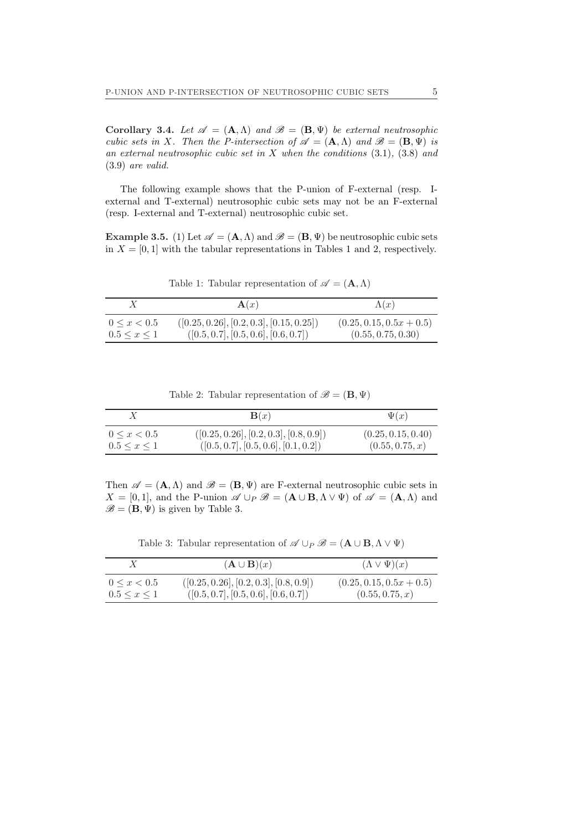Corollary 3.4. Let  $\mathscr{A} = (\mathbf{A}, \Lambda)$  and  $\mathscr{B} = (\mathbf{B}, \Psi)$  be external neutrosophic cubic sets in X. Then the P-intersection of  $\mathscr{A} = (\mathbf{A}, \Lambda)$  and  $\mathscr{B} = (\mathbf{B}, \Psi)$  is an external neutrosophic cubic set in  $X$  when the conditions  $(3.1)$ ,  $(3.8)$  and (3.9) are valid.

The following example shows that the P-union of F-external (resp. Iexternal and T-external) neutrosophic cubic sets may not be an F-external (resp. I-external and T-external) neutrosophic cubic set.

**Example 3.5.** (1) Let  $\mathscr{A} = (\mathbf{A}, \Lambda)$  and  $\mathscr{B} = (\mathbf{B}, \Psi)$  be neutrosophic cubic sets in  $X = [0, 1]$  with the tabular representations in Tables 1 and 2, respectively.

Table 1: Tabular representation of  $\mathscr{A} = (\mathbf{A}, \Lambda)$ 

|                     | $\mathbf{A}(x)$                            | $\Lambda(x)$               |
|---------------------|--------------------------------------------|----------------------------|
| $0 \leq x < 0.5$    | $([0.25, 0.26], [0.2, 0.3], [0.15, 0.25])$ | $(0.25, 0.15, 0.5x + 0.5)$ |
| $0.5 \leq x \leq 1$ | ([0.5, 0.7], [0.5, 0.6], [0.6, 0.7])       | (0.55, 0.75, 0.30)         |

Table 2: Tabular representation of  $\mathscr{B} = (\mathbf{B}, \Psi)$ 

|                     | $\mathbf{B}(x)$                          | $\Psi(x)$          |
|---------------------|------------------------------------------|--------------------|
| $0 \leq x < 0.5$    | $([0.25, 0.26], [0.2, 0.3], [0.8, 0.9])$ | (0.25, 0.15, 0.40) |
| $0.5 \leq x \leq 1$ | ([0.5, 0.7], [0.5, 0.6], [0.1, 0.2])     | (0.55, 0.75, x)    |

Then  $\mathscr{A} = (\mathbf{A}, \Lambda)$  and  $\mathscr{B} = (\mathbf{B}, \Psi)$  are F-external neutrosophic cubic sets in  $X = [0, 1]$ , and the P-union  $\mathscr{A} \cup_P \mathscr{B} = (A \cup B, \Lambda \vee \Psi)$  of  $\mathscr{A} = (A, \Lambda)$  and  $\mathscr{B} = (\mathbf{B}, \Psi)$  is given by Table 3.

Table 3: Tabular representation of  $\mathscr{A} \cup_P \mathscr{B} = (\mathbf{A} \cup \mathbf{B}, \Lambda \vee \Psi)$ 

|                     | $(\mathbf{A} \cup \mathbf{B})(x)$        | $(\Lambda \vee \Psi)(x)$   |
|---------------------|------------------------------------------|----------------------------|
| $0 \leq x < 0.5$    | $([0.25, 0.26], [0.2, 0.3], [0.8, 0.9])$ | $(0.25, 0.15, 0.5x + 0.5)$ |
| $0.5 \leq x \leq 1$ | ([0.5, 0.7], [0.5, 0.6], [0.6, 0.7])     | (0.55, 0.75, x)            |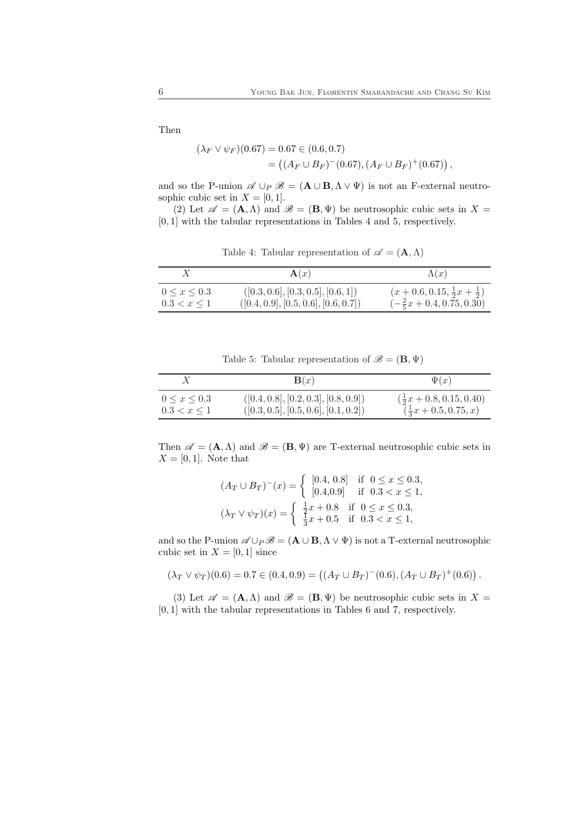Then

$$
(\lambda_F \vee \psi_F)(0.67) = 0.67 \in (0.6, 0.7)
$$
  
= 
$$
((A_F \cup B_F)^{-(0.67)}, (A_F \cup B_F)^{+(0.67)})
$$
,

and so the P-union  $\mathscr{A} \cup_P \mathscr{B} = (\mathbf{A} \cup \mathbf{B}, \Lambda \vee \Psi)$  is not an F-external neutrosophic cubic set in  $X = [0, 1]$ .

(2) Let  $\mathscr{A} = (\mathbf{A}, \Lambda)$  and  $\mathscr{B} = (\mathbf{B}, \Psi)$  be neutrosophic cubic sets in  $X =$ [0, 1] with the tabular representations in Tables 4 and 5, respectively.

Table 4: Tabular representation of  $\mathscr{A} = (\mathbf{A}, \Lambda)$ 

|                     | $\mathbf{A}(x)$                      | $\Lambda(x)$                                   |
|---------------------|--------------------------------------|------------------------------------------------|
| $0 \leq x \leq 0.3$ | ([0.3, 0.6], [0.3, 0.5], [0.6, 1])   | $(x+0.6, 0.15, \frac{1}{2}x + \frac{1}{2})$    |
| $0.3 < x \leq 1$    | ([0.4, 0.9], [0.5, 0.6], [0.6, 0.7]) | $\left(-\frac{2}{5}x + 0.4, 0.75, 0.30\right)$ |

Table 5: Tabular representation of  $\mathscr{B} = (\mathbf{B}, \Psi)$ 

|                     | $\mathbf{B}(x)$                      | $\Psi(x)$                          |
|---------------------|--------------------------------------|------------------------------------|
| $0 \leq x \leq 0.3$ | ([0.4, 0.8], [0.2, 0.3], [0.8, 0.9]) | $(\frac{1}{2}x + 0.8, 0.15, 0.40)$ |
| $0.3 < x \leq 1$    | ([0.3, 0.5], [0.5, 0.6], [0.1, 0.2]) | $(\frac{1}{3}x + 0.5, 0.75, x)$    |

Then  $\mathscr{A} = (\mathbf{A}, \Lambda)$  and  $\mathscr{B} = (\mathbf{B}, \Psi)$  are T-external neutrosophic cubic sets in  $X = [0, 1]$ . Note that

$$
(A_T \cup B_T)^{-}(x) = \begin{cases} [0.4, 0.8] & \text{if } 0 \le x \le 0.3, \\ [0.4, 0.9] & \text{if } 0.3 < x \le 1, \\ (\lambda_T \vee \psi_T)(x) = \begin{cases} \frac{1}{7}x + 0.8 & \text{if } 0 \le x \le 0.3, \\ \frac{1}{3}x + 0.5 & \text{if } 0.3 < x \le 1, \end{cases} \end{cases}
$$

and so the P-union  $\mathscr{A} \cup_P \mathscr{B} = (\mathbf{A} \cup \mathbf{B}, \Lambda \vee \Psi)$  is not a T-external neutrosophic cubic set in  $X = [0, 1]$  since

$$
(\lambda_T \vee \psi_T)(0.6) = 0.7 \in (0.4, 0.9) = ((A_T \cup B_T)^{-}(0.6), (A_T \cup B_T)^{+}(0.6)).
$$

(3) Let  $\mathscr{A} = (\mathbf{A}, \Lambda)$  and  $\mathscr{B} = (\mathbf{B}, \Psi)$  be neutrosophic cubic sets in  $X =$ [0, 1] with the tabular representations in Tables 6 and 7, respectively.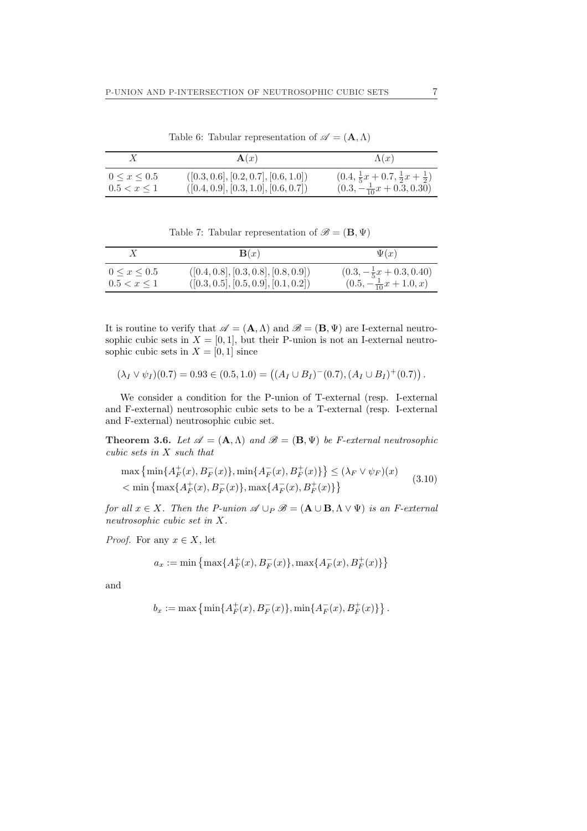|                                         | $\mathbf{A}(x)$                                                              | $\Lambda(x)$                                                                                   |
|-----------------------------------------|------------------------------------------------------------------------------|------------------------------------------------------------------------------------------------|
| $0 \leq x \leq 0.5$<br>$0.5 < x \leq 1$ | ([0.3, 0.6], [0.2, 0.7], [0.6, 1.0])<br>([0.4, 0.9], [0.3, 1.0], [0.6, 0.7]) | $(0.4, \frac{1}{5}x + 0.7, \frac{1}{2}x + \frac{1}{2})$<br>$(0.3, -\frac{1}{10}x + 0.3, 0.30)$ |

Table 6: Tabular representation of  $\mathscr{A} = (\mathbf{A}, \Lambda)$ 

Table 7: Tabular representation of  $\mathscr{B} = (\mathbf{B}, \Psi)$ 

|                     | $\mathbf{B}(x)$                      | $\Psi(x)$                          |
|---------------------|--------------------------------------|------------------------------------|
| $0 \leq x \leq 0.5$ | ([0.4, 0.8], [0.3, 0.8], [0.8, 0.9]) | $(0.3, -\frac{1}{5}x + 0.3, 0.40)$ |
| $0.5 < x \leq 1$    | ([0.3, 0.5], [0.5, 0.9], [0.1, 0.2]) | $(0.5, -\frac{1}{10}x + 1.0, x)$   |

It is routine to verify that  $\mathscr{A} = (\mathbf{A}, \Lambda)$  and  $\mathscr{B} = (\mathbf{B}, \Psi)$  are I-external neutrosophic cubic sets in  $X = [0, 1]$ , but their P-union is not an I-external neutrosophic cubic sets in  $X = [0, 1]$  since

$$
(\lambda_I \vee \psi_I)(0.7) = 0.93 \in (0.5, 1.0) = ((A_I \cup B_I)^{-}(0.7), (A_I \cup B_I)^{+}(0.7)).
$$

We consider a condition for the P-union of T-external (resp. I-external and F-external) neutrosophic cubic sets to be a T-external (resp. I-external and F-external) neutrosophic cubic set.

**Theorem 3.6.** Let  $\mathscr{A} = (\mathbf{A}, \Lambda)$  and  $\mathscr{B} = (\mathbf{B}, \Psi)$  be *F*-external neutrosophic cubic sets in X such that

$$
\max\left\{\min\{A_F^+(x), B_F^-(x)\}, \min\{A_F^-(x), B_F^+(x)\}\right\} \le (\lambda_F \vee \psi_F)(x)
$$
  

$$
< \min\left\{\max\{A_F^+(x), B_F^-(x)\}, \max\{A_F^-(x), B_F^+(x)\}\right\}
$$
(3.10)

for all  $x \in X$ . Then the P-union  $\mathscr{A} \cup_P \mathscr{B} = (\mathbf{A} \cup \mathbf{B}, \Lambda \vee \Psi)$  is an F-external neutrosophic cubic set in X.

*Proof.* For any  $x \in X$ , let

$$
a_x := \min\left\{\max\{A_F^+(x), B_F^-(x)\}, \max\{A_F^-(x), B_F^+(x)\}\right\}
$$

and

$$
b_x := \max \left\{ \min \{ A_F^+(x), B_F^-(x) \}, \min \{ A_F^-(x), B_F^+(x) \} \right\}.
$$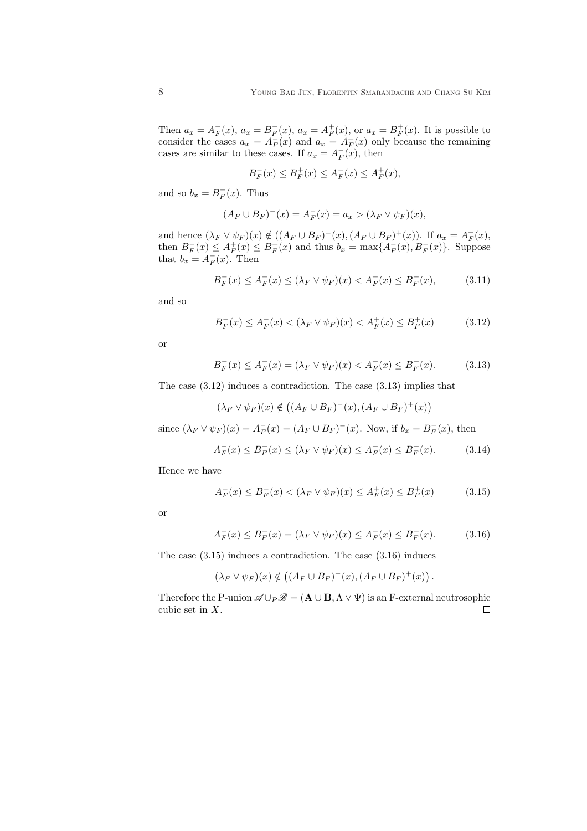Then  $a_x = A_F^-(x)$ ,  $a_x = B_F^-(x)$ ,  $a_x = A_F^+(x)$ , or  $a_x = B_F^+(x)$ . It is possible to consider the cases  $a_x = A_F^-(x)$  and  $a_x = A_F^+(x)$  only because the remaining cases are similar to these cases. If  $a_x = A_F^-(x)$ , then

$$
B^-_F(x) \le B^+_F(x) \le A^-_F(x) \le A^+_F(x),
$$

and so  $b_x = B_F^+(x)$ . Thus

$$
(A_F \cup B_F)^{-}(x) = A_F^{-}(x) = a_x > (\lambda_F \vee \psi_F)(x),
$$

and hence  $(\lambda_F \vee \psi_F)(x) \notin ((A_F \cup B_F)^{-}(x), (A_F \cup B_F)^{+}(x))$ . If  $a_x = A_F^{+}(x)$ , then  $B_F^-(x) \le A_F^+(x) \le B_F^+(x)$  and thus  $b_x = \max\{A_F^-(x), B_F^-(x)\}\$ . Suppose that  $b_x = A_F^-(x)$ . Then

$$
B_F^-(x) \le A_F^-(x) \le (\lambda_F \vee \psi_F)(x) < A_F^+(x) \le B_F^+(x),\tag{3.11}
$$

and so

$$
B_F^-(x) \le A_F^-(x) < (\lambda_F \vee \psi_F)(x) < A_F^+(x) \le B_F^+(x) \tag{3.12}
$$

or

$$
B_F^-(x) \le A_F^-(x) = (\lambda_F \vee \psi_F)(x) < A_F^+(x) \le B_F^+(x). \tag{3.13}
$$

The case (3.12) induces a contradiction. The case (3.13) implies that

$$
(\lambda_F \vee \psi_F)(x) \notin ((A_F \cup B_F)^{-(x)}, (A_F \cup B_F)^{+(x)})
$$

since  $(\lambda_F \vee \psi_F)(x) = A_F^-(x) = (A_F \cup B_F)^-(x)$ . Now, if  $b_x = B_F^-(x)$ , then

$$
A_F^-(x) \le B_F^-(x) \le (\lambda_F \vee \psi_F)(x) \le A_F^+(x) \le B_F^+(x). \tag{3.14}
$$

Hence we have

$$
A_F^-(x) \le B_F^-(x) < (\lambda_F \vee \psi_F)(x) \le A_F^+(x) \le B_F^+(x) \tag{3.15}
$$

or

$$
A_F^-(x) \le B_F^-(x) = (\lambda_F \vee \psi_F)(x) \le A_F^+(x) \le B_F^+(x). \tag{3.16}
$$

The case (3.15) induces a contradiction. The case (3.16) induces

$$
(\lambda_F \vee \psi_F)(x) \notin ((A_F \cup B_F)^{-(x)}, (A_F \cup B_F)^{+(x)}).
$$

Therefore the P-union  $\mathscr{A} \cup_P \mathscr{B} = (\mathbf{A} \cup \mathbf{B}, \Lambda \vee \Psi)$  is an F-external neutrosophic cubic set in X. $\Box$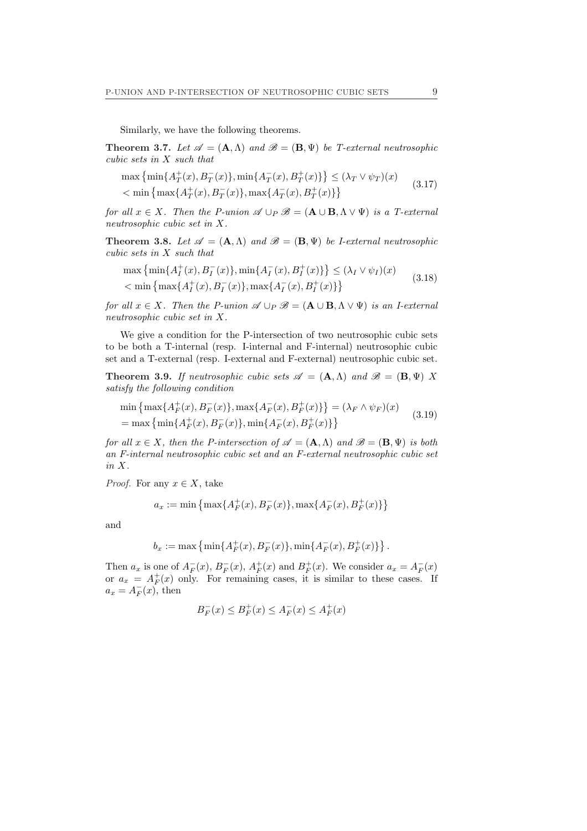Similarly, we have the following theorems.

**Theorem 3.7.** Let  $\mathscr{A} = (\mathbf{A}, \Lambda)$  and  $\mathscr{B} = (\mathbf{B}, \Psi)$  be T-external neutrosophic cubic sets in X such that

$$
\max\left\{\min\{A_T^+(x), B_T^-(x)\}, \min\{A_T^-(x), B_T^+(x)\}\right\} \le (\lambda_T \vee \psi_T)(x)
$$
  

$$
< \min\left\{\max\{A_T^+(x), B_T^-(x)\}, \max\{A_T^-(x), B_T^+(x)\}\right\}
$$
(3.17)

for all  $x \in X$ . Then the P-union  $\mathscr{A} \cup_P \mathscr{B} = (\mathbf{A} \cup \mathbf{B}, \Lambda \vee \Psi)$  is a T-external neutrosophic cubic set in X.

**Theorem 3.8.** Let  $\mathscr{A} = (\mathbf{A}, \Lambda)$  and  $\mathscr{B} = (\mathbf{B}, \Psi)$  be *I*-external neutrosophic cubic sets in X such that

$$
\max \left\{ \min\{A_I^+(x), B_I^-(x)\}, \min\{A_I^-(x), B_I^+(x)\} \right\} \le (\lambda_I \vee \psi_I)(x)
$$
  

$$
< \min \left\{ \max\{A_I^+(x), B_I^-(x)\}, \max\{A_I^-(x), B_I^+(x)\} \right\}
$$
(3.18)

for all  $x \in X$ . Then the P-union  $\mathscr{A} \cup_P \mathscr{B} = (\mathbf{A} \cup \mathbf{B}, \Lambda \vee \Psi)$  is an I-external neutrosophic cubic set in X.

We give a condition for the P-intersection of two neutrosophic cubic sets to be both a T-internal (resp. I-internal and F-internal) neutrosophic cubic set and a T-external (resp. I-external and F-external) neutrosophic cubic set.

**Theorem 3.9.** If neutrosophic cubic sets  $\mathscr{A} = (\mathbf{A}, \Lambda)$  and  $\mathscr{B} = (\mathbf{B}, \Psi)$  X satisfy the following condition

$$
\min\left\{\max\{A_F^+(x), B_F^-(x)\}, \max\{A_F^-(x), B_F^+(x)\}\right\} = (\lambda_F \wedge \psi_F)(x)
$$
\n
$$
= \max\left\{\min\{A_F^+(x), B_F^-(x)\}, \min\{A_F^-(x), B_F^+(x)\}\right\} \tag{3.19}
$$

for all  $x \in X$ , then the P-intersection of  $\mathscr{A} = (\mathbf{A}, \Lambda)$  and  $\mathscr{B} = (\mathbf{B}, \Psi)$  is both an F-internal neutrosophic cubic set and an F-external neutrosophic cubic set in X.

*Proof.* For any  $x \in X$ , take

$$
a_x := \min\left\{\max\{A_F^+(x), B_F^-(x)\}, \max\{A_F^-(x), B_F^+(x)\}\right\}
$$

and

$$
b_x := \max \left\{ \min \{ A_F^+(x), B_F^-(x) \}, \min \{ A_F^-(x), B_F^+(x) \} \right\}.
$$

Then  $a_x$  is one of  $A_F^-(x)$ ,  $B_F^-(x)$ ,  $A_F^+(x)$  and  $B_F^+(x)$ . We consider  $a_x = A_F^-(x)$ or  $a_x = A_F^+(x)$  only. For remaining cases, it is similar to these cases. If  $a_x = A_F^-(x)$ , then

$$
B^-_F(x) \le B^+_F(x) \le A^-_F(x) \le A^+_F(x)
$$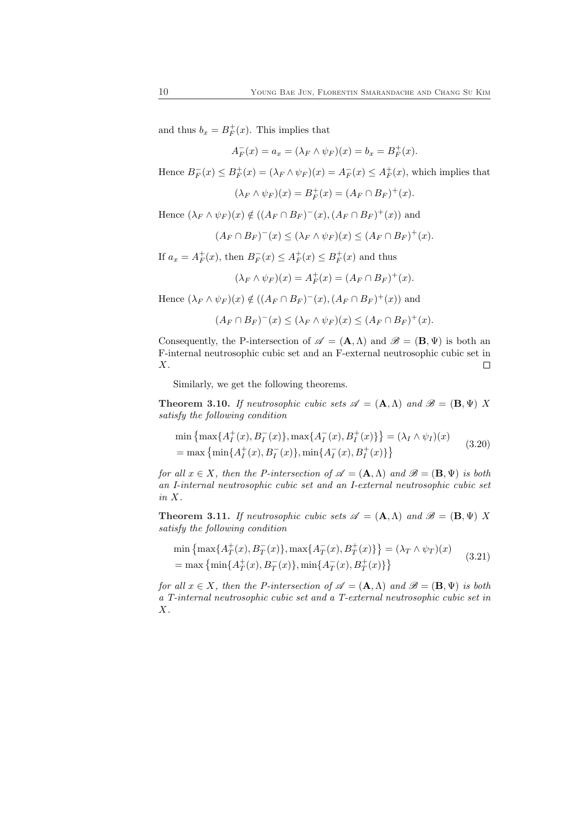and thus  $b_x = B_F^+(x)$ . This implies that

$$
A_F^-(x) = a_x = (\lambda_F \wedge \psi_F)(x) = b_x = B_F^+(x).
$$

Hence  $B_F^-(x) \leq B_F^+(x) = (\lambda_F \wedge \psi_F)(x) = A_F^-(x) \leq A_F^+(x)$ , which implies that

$$
(\lambda_F \wedge \psi_F)(x) = B_F^+(x) = (A_F \cap B_F)^+(x).
$$

Hence  $(\lambda_F \wedge \psi_F)(x) \notin ((A_F \cap B_F)^{-(x)}, (A_F \cap B_F)^{+(x)})$  and

$$
(A_F \cap B_F)^{-}(x) \leq (\lambda_F \wedge \psi_F)(x) \leq (A_F \cap B_F)^{+}(x).
$$

If  $a_x = A_F^+(x)$ , then  $B_F^-(x) \le A_F^+(x) \le B_F^+(x)$  and thus

$$
(\lambda_F \wedge \psi_F)(x) = A_F^+(x) = (A_F \cap B_F)^+(x).
$$

Hence  $(\lambda_F \wedge \psi_F)(x) \notin ((A_F \cap B_F)^{-(x)}, (A_F \cap B_F)^{+(x)})$  and

$$
(A_F \cap B_F)^{-}(x) \leq (\lambda_F \wedge \psi_F)(x) \leq (A_F \cap B_F)^{+}(x).
$$

Consequently, the P-intersection of  $\mathscr{A} = (\mathbf{A}, \Lambda)$  and  $\mathscr{B} = (\mathbf{B}, \Psi)$  is both an F-internal neutrosophic cubic set and an F-external neutrosophic cubic set in X.  $\Box$ 

Similarly, we get the following theorems.

**Theorem 3.10.** If neutrosophic cubic sets  $\mathscr{A} = (\mathbf{A}, \Lambda)$  and  $\mathscr{B} = (\mathbf{B}, \Psi)$  X satisfy the following condition

$$
\min \left\{ \max \{ A_I^+(x), B_I^-(x) \}, \max \{ A_I^-(x), B_I^+(x) \} \right\} = (\lambda_I \wedge \psi_I)(x)
$$
\n
$$
= \max \left\{ \min \{ A_I^+(x), B_I^-(x) \}, \min \{ A_I^-(x), B_I^+(x) \} \right\} \tag{3.20}
$$

for all  $x \in X$ , then the P-intersection of  $\mathscr{A} = (\mathbf{A}, \Lambda)$  and  $\mathscr{B} = (\mathbf{B}, \Psi)$  is both an I-internal neutrosophic cubic set and an I-external neutrosophic cubic set in X.

**Theorem 3.11.** If neutrosophic cubic sets  $\mathscr{A} = (\mathbf{A}, \Lambda)$  and  $\mathscr{B} = (\mathbf{B}, \Psi)$  X satisfy the following condition

 $\min\left\{\max\{A_T^+(x), B_T^-(x)\}, \max\{A_T^-(x), B_T^+(x)\}\right\}$ ª  $=(\lambda_T \wedge \psi_T)(x)$ = max  $\{\min\{A^+_T(x), B^-_T(x)\}, \min\{A^-_T(x), B^+_T(x)\}\}$  $(3.21)$ 

for all  $x \in X$ , then the P-intersection of  $\mathscr{A} = (\mathbf{A}, \Lambda)$  and  $\mathscr{B} = (\mathbf{B}, \Psi)$  is both a T-internal neutrosophic cubic set and a T-external neutrosophic cubic set in  $X$ .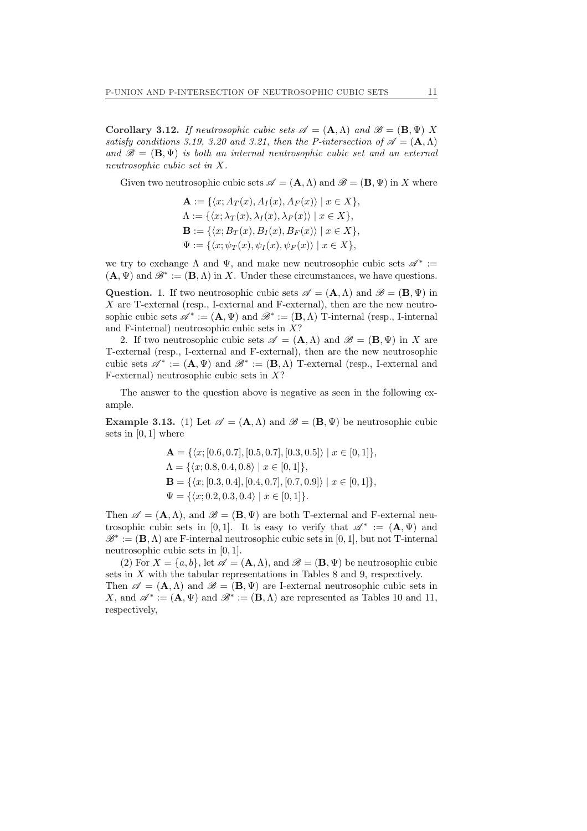Corollary 3.12. If neutrosophic cubic sets  $\mathscr{A} = (\mathbf{A}, \Lambda)$  and  $\mathscr{B} = (\mathbf{B}, \Psi)$  X satisfy conditions 3.19, 3.20 and 3.21, then the P-intersection of  $\mathscr{A} = (\mathbf{A}, \Lambda)$ and  $\mathscr{B} = (\mathbf{B}, \Psi)$  is both an internal neutrosophic cubic set and an external neutrosophic cubic set in X.

Given two neutrosophic cubic sets  $\mathscr{A} = (\mathbf{A}, \Lambda)$  and  $\mathscr{B} = (\mathbf{B}, \Psi)$  in X where

$$
\mathbf{A} := \{ \langle x; A_T(x), A_I(x), A_F(x) \rangle \mid x \in X \},\
$$

$$
\Lambda := \{ \langle x; \lambda_T(x), \lambda_I(x), \lambda_F(x) \rangle \mid x \in X \},\
$$

$$
\mathbf{B} := \{ \langle x; B_T(x), B_I(x), B_F(x) \rangle \mid x \in X \},\
$$

$$
\Psi := \{ \langle x; \psi_T(x), \psi_I(x), \psi_F(x) \rangle \mid x \in X \},\
$$

we try to exchange  $\Lambda$  and  $\Psi$ , and make new neutrosophic cubic sets  $\mathscr{A}^*$  :=  $(\mathbf{A}, \Psi)$  and  $\mathscr{B}^* := (\mathbf{B}, \Lambda)$  in X. Under these circumstances, we have questions.

Question. 1. If two neutrosophic cubic sets  $\mathscr{A} = (\mathbf{A}, \Lambda)$  and  $\mathscr{B} = (\mathbf{B}, \Psi)$  in  $X$  are T-external (resp., I-external and F-external), then are the new neutrosophic cubic sets  $\mathscr{A}^* := (\mathbf{A}, \Psi)$  and  $\mathscr{B}^* := (\mathbf{B}, \Lambda)$  T-internal (resp., I-internal and F-internal) neutrosophic cubic sets in  $X$ ?

2. If two neutrosophic cubic sets  $\mathscr{A} = (\mathbf{A}, \Lambda)$  and  $\mathscr{B} = (\mathbf{B}, \Psi)$  in X are T-external (resp., I-external and F-external), then are the new neutrosophic cubic sets  $\mathscr{A}^* := (\mathbf{A}, \Psi)$  and  $\mathscr{B}^* := (\mathbf{B}, \Lambda)$  T-external (resp., I-external and F-external) neutrosophic cubic sets in  $X$ ?

The answer to the question above is negative as seen in the following example.

Example 3.13. (1) Let  $\mathscr{A} = (\mathbf{A}, \Lambda)$  and  $\mathscr{B} = (\mathbf{B}, \Psi)$  be neutrosophic cubic sets in [0, 1] where

$$
\mathbf{A} = \{ \langle x; [0.6, 0.7], [0.5, 0.7], [0.3, 0.5] \rangle \mid x \in [0, 1] \},\
$$
  
\n
$$
\Lambda = \{ \langle x; 0.8, 0.4, 0.8 \rangle \mid x \in [0, 1] \},\
$$
  
\n
$$
\mathbf{B} = \{ \langle x; [0.3, 0.4], [0.4, 0.7], [0.7, 0.9] \rangle \mid x \in [0, 1] \},\
$$
  
\n
$$
\Psi = \{ \langle x; 0.2, 0.3, 0.4 \rangle \mid x \in [0, 1] \}.
$$

Then  $\mathscr{A} = (\mathbf{A}, \Lambda)$ , and  $\mathscr{B} = (\mathbf{B}, \Psi)$  are both T-external and F-external neutrosophic cubic sets in [0,1]. It is easy to verify that  $\mathscr{A}^* := (\mathbf{A}, \Psi)$  and  $\mathscr{B}^* := (\mathbf{B}, \Lambda)$  are F-internal neutrosophic cubic sets in [0, 1], but not T-internal neutrosophic cubic sets in [0, 1].

(2) For  $X = \{a, b\}$ , let  $\mathscr{A} = (\mathbf{A}, \Lambda)$ , and  $\mathscr{B} = (\mathbf{B}, \Psi)$  be neutrosophic cubic sets in X with the tabular representations in Tables 8 and 9, respectively.

Then  $\mathscr{A} = (\mathbf{A}, \Lambda)$  and  $\mathscr{B} = (\mathbf{B}, \Psi)$  are I-external neutrosophic cubic sets in X, and  $\mathscr{A}^* := (\mathbf{A}, \Psi)$  and  $\mathscr{B}^* := (\mathbf{B}, \Lambda)$  are represented as Tables 10 and 11, respectively,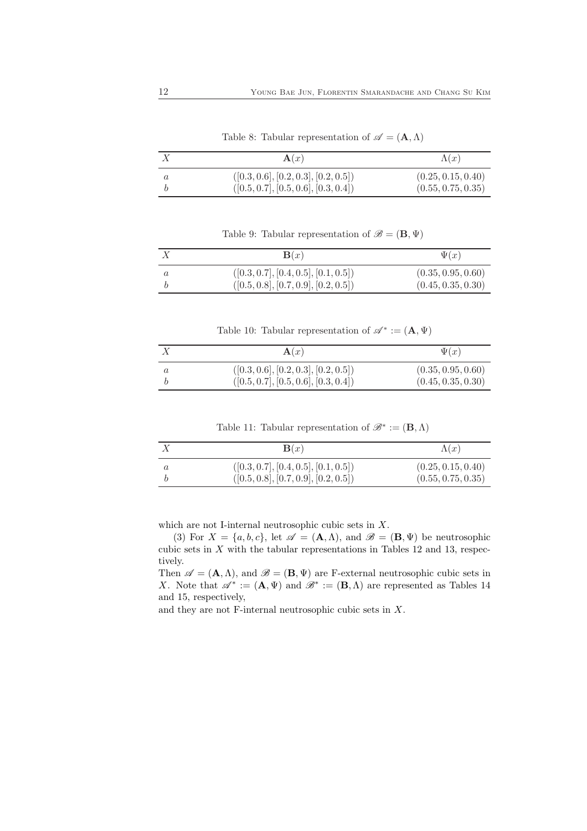|         | $\mathbf{A}(x)$                                                              | $\Lambda(x)$                             |
|---------|------------------------------------------------------------------------------|------------------------------------------|
| $\it a$ | ([0.3, 0.6], [0.2, 0.3], [0.2, 0.5])<br>([0.5, 0.7], [0.5, 0.6], [0.3, 0.4]) | (0.25, 0.15, 0.40)<br>(0.55, 0.75, 0.35) |

Table 8: Tabular representation of  $\mathscr{A} = (\mathbf{A}, \Lambda)$ 

Table 9: Tabular representation of  $\mathscr{B} = (\mathbf{B}, \Psi)$ 

| $\Psi(x)$          | $\mathbf{B}(x)$                      |  |
|--------------------|--------------------------------------|--|
| (0.35, 0.95, 0.60) | ([0.3, 0.7], [0.4, 0.5], [0.1, 0.5]) |  |
| (0.45, 0.35, 0.30) | ([0.5, 0.8], [0.7, 0.9], [0.2, 0.5]) |  |

Table 10: Tabular representation of  $\mathscr{A}^* := (\mathbf{A}, \Psi)$ 

|         | $\mathbf{A}(x)$                                                              | $\Psi(x)$                                |
|---------|------------------------------------------------------------------------------|------------------------------------------|
| $\it a$ | ([0.3, 0.6], [0.2, 0.3], [0.2, 0.5])<br>([0.5, 0.7], [0.5, 0.6], [0.3, 0.4]) | (0.35, 0.95, 0.60)<br>(0.45, 0.35, 0.30) |

Table 11: Tabular representation of  $\mathscr{B}^* := (\mathbf{B}, \Lambda)$ 

| $\mathbf{B}(x)$                      | $\Lambda(x)$       |
|--------------------------------------|--------------------|
| ([0.3, 0.7], [0.4, 0.5], [0.1, 0.5]) | (0.25, 0.15, 0.40) |
| ([0.5, 0.8], [0.7, 0.9], [0.2, 0.5]) | (0.55, 0.75, 0.35) |

which are not I-internal neutrosophic cubic sets in X.

(3) For  $X = \{a, b, c\}$ , let  $\mathscr{A} = (\mathbf{A}, \Lambda)$ , and  $\mathscr{B} = (\mathbf{B}, \Psi)$  be neutrosophic cubic sets in  $X$  with the tabular representations in Tables 12 and 13, respectively.

Then  $\mathscr{A} = (\mathbf{A}, \Lambda)$ , and  $\mathscr{B} = (\mathbf{B}, \Psi)$  are F-external neutrosophic cubic sets in X. Note that  $\mathscr{A}^* := (\mathbf{A}, \Psi)$  and  $\mathscr{B}^* := (\mathbf{B}, \Lambda)$  are represented as Tables 14 and 15, respectively,

and they are not F-internal neutrosophic cubic sets in X.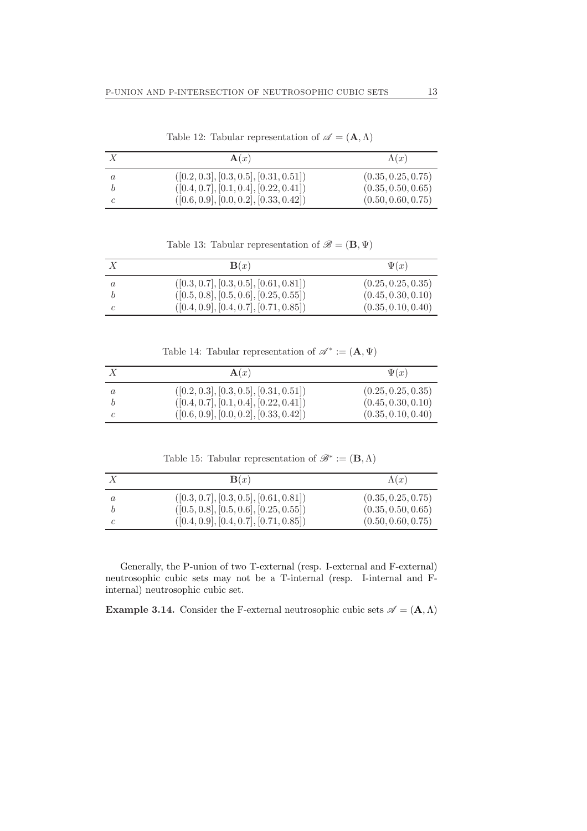|   | $\mathbf{A}(x)$                          | $\Lambda(x)$       |
|---|------------------------------------------|--------------------|
| a | $([0.2, 0.3], [0.3, 0.5], [0.31, 0.51])$ | (0.35, 0.25, 0.75) |
|   | $([0.4, 0.7], [0.1, 0.4], [0.22, 0.41])$ | (0.35, 0.50, 0.65) |
|   | $([0.6, 0.9], [0.0, 0.2], [0.33, 0.42])$ | (0.50, 0.60, 0.75) |

Table 12: Tabular representation of  $\mathscr{A}=(\mathbf{A},\Lambda)$ 

Table 13: Tabular representation of  $\mathscr{B} = (\mathbf{B}, \Psi)$ 

|         | $\mathbf{B}(x)$                          | $\Psi(x)$          |
|---------|------------------------------------------|--------------------|
| $\it a$ | $([0.3, 0.7], [0.3, 0.5], [0.61, 0.81])$ | (0.25, 0.25, 0.35) |
|         | $([0.5, 0.8], [0.5, 0.6], [0.25, 0.55])$ | (0.45, 0.30, 0.10) |
|         | $([0.4, 0.9], [0.4, 0.7], [0.71, 0.85])$ | (0.35, 0.10, 0.40) |

Table 14: Tabular representation of  $\mathscr{A}^* := (\mathbf{A}, \Psi)$ 

|   | $\mathbf{A}(x)$                          | $\Psi(x)$          |
|---|------------------------------------------|--------------------|
| a | $([0.2, 0.3], [0.3, 0.5], [0.31, 0.51])$ | (0.25, 0.25, 0.35) |
|   | $([0.4, 0.7], [0.1, 0.4], [0.22, 0.41])$ | (0.45, 0.30, 0.10) |
|   | $([0.6, 0.9], [0.0, 0.2], [0.33, 0.42])$ | (0.35, 0.10, 0.40) |

Table 15: Tabular representation of  $\mathscr{B}^* := (\mathbf{B}, \Lambda)$ 

|         | $\mathbf{B}(x)$                          | $\Lambda(x)$       |
|---------|------------------------------------------|--------------------|
| $\it a$ | $([0.3, 0.7], [0.3, 0.5], [0.61, 0.81])$ | (0.35, 0.25, 0.75) |
|         | $([0.5, 0.8], [0.5, 0.6], [0.25, 0.55])$ | (0.35, 0.50, 0.65) |
|         | $([0.4, 0.9], [0.4, 0.7], [0.71, 0.85])$ | (0.50, 0.60, 0.75) |

Generally, the P-union of two T-external (resp. I-external and F-external) neutrosophic cubic sets may not be a T-internal (resp. I-internal and Finternal) neutrosophic cubic set.

Example 3.14. Consider the F-external neutrosophic cubic sets  $\mathscr{A} = (\mathbf{A}, \Lambda)$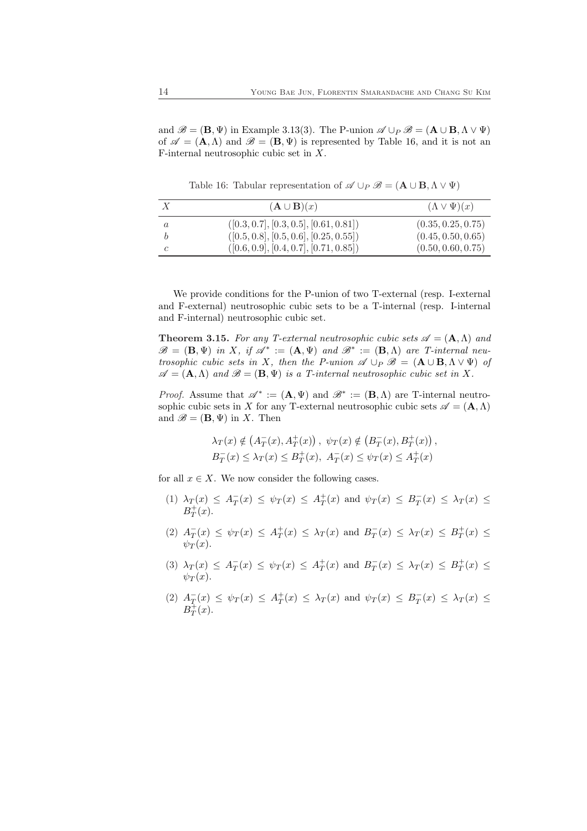and  $\mathscr{B} = (\mathbf{B}, \Psi)$  in Example 3.13(3). The P-union  $\mathscr{A} \cup_P \mathscr{B} = (\mathbf{A} \cup \mathbf{B}, \Lambda \vee \Psi)$ of  $\mathscr{A} = (\mathbf{A}, \Lambda)$  and  $\mathscr{B} = (\mathbf{B}, \Psi)$  is represented by Table 16, and it is not an F-internal neutrosophic cubic set in X.

 $X$  ( $\mathbf{A} \cup \mathbf{B}(x)$  ( $\Lambda \vee \Psi(x)$ )  $a$  ([0.3, 0.7], [0.3, 0.5], [0.61, 0.81]) (0.35, 0.25, 0.75)  $b$  ([0.5, 0.8], [0.5, 0.6], [0.25, 0.55]) (0.45, 0.50, 0.65)  $c$  ([0.6, 0.9], [0.4, 0.7], [0.71, 0.85]) (0.50, 0.60, 0.75)

Table 16: Tabular representation of  $\mathscr{A} \cup_P \mathscr{B} = (\mathbf{A} \cup \mathbf{B}, \Lambda \vee \Psi)$ 

We provide conditions for the P-union of two T-external (resp. I-external and F-external) neutrosophic cubic sets to be a T-internal (resp. I-internal and F-internal) neutrosophic cubic set.

**Theorem 3.15.** For any T-external neutrosophic cubic sets  $\mathcal{A} = (\mathbf{A}, \Lambda)$  and  $\mathscr{B} = (\mathbf{B}, \Psi)$  in X, if  $\mathscr{A}^* := (\mathbf{A}, \Psi)$  and  $\mathscr{B}^* := (\mathbf{B}, \Lambda)$  are T-internal neutrosophic cubic sets in X, then the P-union  $\mathscr{A} \cup_P \mathscr{B} = (\mathbf{A} \cup \mathbf{B}, \Lambda \vee \Psi)$  of  $\mathscr{A} = (\mathbf{A}, \Lambda)$  and  $\mathscr{B} = (\mathbf{B}, \Psi)$  is a T-internal neutrosophic cubic set in X.

*Proof.* Assume that  $\mathscr{A}^* := (\mathbf{A}, \Psi)$  and  $\mathscr{B}^* := (\mathbf{B}, \Lambda)$  are T-internal neutrosophic cubic sets in X for any T-external neutrosophic cubic sets  $\mathscr{A} = (\mathbf{A}, \Lambda)$ and  $\mathscr{B} = (\mathbf{B}, \Psi)$  in X. Then

$$
\lambda_T(x) \notin (A_T^-(x), A_T^+(x)), \ \psi_T(x) \notin (B_T^-(x), B_T^+(x)), B_T^-(x) \leq \lambda_T(x) \leq B_T^+(x), \ A_T^-(x) \leq \psi_T(x) \leq A_T^+(x)
$$

for all  $x \in X$ . We now consider the following cases.

- (1)  $\lambda_T(x) \leq A_T^-(x) \leq \psi_T(x) \leq A_T^+(x)$  and  $\psi_T(x) \leq B_T^-(x) \leq \lambda_T(x) \leq$  $B_T^+(x)$ .
- (2)  $A_T^-(x) \leq \psi_T(x) \leq A_T^+(x) \leq \lambda_T(x)$  and  $B_T^-(x) \leq \lambda_T(x) \leq B_T^+(x) \leq$  $\psi_T(x)$ .
- (3)  $\lambda_T(x) \leq A_T^-(x) \leq \psi_T(x) \leq A_T^+(x)$  and  $B_T^-(x) \leq \lambda_T(x) \leq B_T^+(x) \leq$  $\psi_T(x)$ .
- (2)  $A_T^-(x) \leq \psi_T(x) \leq A_T^+(x) \leq \lambda_T(x)$  and  $\psi_T(x) \leq B_T^-(x) \leq \lambda_T(x) \leq$  $B_T^{\ddag}(x)$ .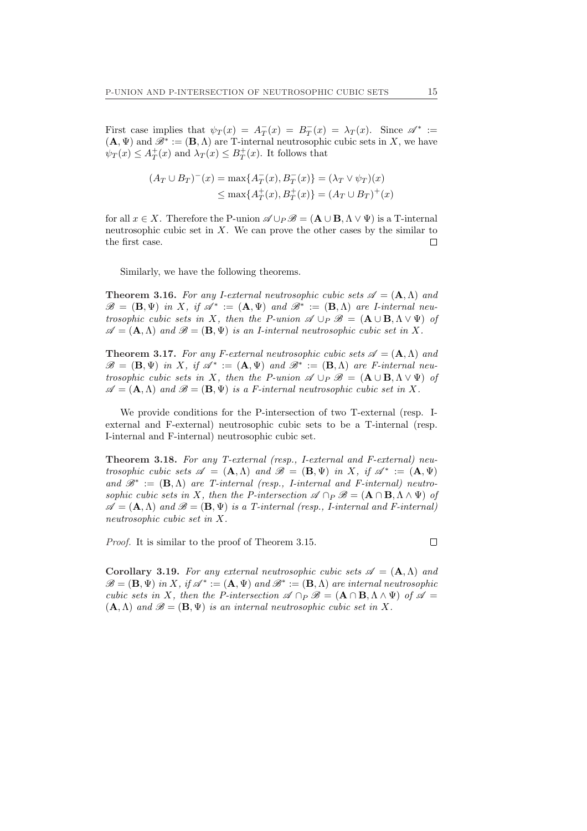First case implies that  $\psi_T(x) = A_T^-(x) = B_T^-(x) = \lambda_T(x)$ . Since  $\mathscr{A}^* :=$  $(\mathbf{A}, \Psi)$  and  $\mathscr{B}^* := (\mathbf{B}, \Lambda)$  are T-internal neutrosophic cubic sets in X, we have  $\psi_T(x) \leq A_T^+(x)$  and  $\lambda_T(x) \leq B_T^+(x)$ . It follows that

$$
(A_T \cup B_T)^{-}(x) = \max\{A_T^{-}(x), B_T^{-}(x)\} = (\lambda_T \vee \psi_T)(x)
$$
  

$$
\leq \max\{A_T^{+}(x), B_T^{+}(x)\} = (A_T \cup B_T)^{+}(x)
$$

for all  $x \in X$ . Therefore the P-union  $\mathscr{A} \cup_{P} \mathscr{B} = (\mathbf{A} \cup \mathbf{B}, \Lambda \vee \Psi)$  is a T-internal neutrosophic cubic set in  $X$ . We can prove the other cases by the similar to the first case.  $\Box$ 

Similarly, we have the following theorems.

**Theorem 3.16.** For any I-external neutrosophic cubic sets  $\mathscr{A} = (\mathbf{A}, \Lambda)$  and  $\mathscr{B} = (\mathbf{B}, \Psi)$  in X, if  $\mathscr{A}^* := (\mathbf{A}, \Psi)$  and  $\mathscr{B}^* := (\mathbf{B}, \Lambda)$  are *I*-internal neutrosophic cubic sets in X, then the P-union  $\mathscr{A} \cup_P \mathscr{B} = (\mathbf{A} \cup \mathbf{B}, \Lambda \vee \Psi)$  of  $\mathscr{A} = (\mathbf{A}, \Lambda)$  and  $\mathscr{B} = (\mathbf{B}, \Psi)$  is an *I*-internal neutrosophic cubic set in X.

**Theorem 3.17.** For any F-external neutrosophic cubic sets  $\mathcal{A} = (\mathbf{A}, \Lambda)$  and  $\mathscr{B} = (\mathbf{B}, \Psi)$  in X, if  $\mathscr{A}^* := (\mathbf{A}, \Psi)$  and  $\mathscr{B}^* := (\mathbf{B}, \Lambda)$  are F-internal neutrosophic cubic sets in X, then the P-union  $\mathscr{A} \cup_P \mathscr{B} = (\mathbf{A} \cup \mathbf{B}, \Lambda \vee \Psi)$  of  $\mathscr{A} = (\mathbf{A}, \Lambda)$  and  $\mathscr{B} = (\mathbf{B}, \Psi)$  is a *F*-internal neutrosophic cubic set in X.

We provide conditions for the P-intersection of two T-external (resp. Iexternal and F-external) neutrosophic cubic sets to be a T-internal (resp. I-internal and F-internal) neutrosophic cubic set.

Theorem 3.18. For any T-external (resp., I-external and F-external) neutrosophic cubic sets  $\mathscr{A} = (\mathbf{A}, \Lambda)$  and  $\mathscr{B} = (\mathbf{B}, \Psi)$  in X, if  $\mathscr{A}^* := (\mathbf{A}, \Psi)$ and  $\mathscr{B}^* := (\mathbf{B}, \Lambda)$  are T-internal (resp., I-internal and F-internal) neutrosophic cubic sets in X, then the P-intersection  $\mathscr{A} \cap_P \mathscr{B} = (\mathbf{A} \cap \mathbf{B}, \Lambda \wedge \Psi)$  of  $\mathscr{A} = (\mathbf{A}, \Lambda)$  and  $\mathscr{B} = (\mathbf{B}, \Psi)$  is a T-internal (resp., I-internal and F-internal) neutrosophic cubic set in X.

Proof. It is similar to the proof of Theorem 3.15.

Corollary 3.19. For any external neutrosophic cubic sets  $\mathscr{A} = (\mathbf{A}, \Lambda)$  and  $\mathscr{B} = (\mathbf{B}, \Psi)$  in X, if  $\mathscr{A}^* := (\mathbf{A}, \Psi)$  and  $\mathscr{B}^* := (\mathbf{B}, \Lambda)$  are internal neutrosophic cubic sets in X, then the P-intersection  $\mathscr{A} \cap_P \mathscr{B} = (\mathbf{A} \cap \mathbf{B}, \Lambda \wedge \Psi)$  of  $\mathscr{A} =$  $(A, \Lambda)$  and  $\mathscr{B} = (B, \Psi)$  is an internal neutrosophic cubic set in X.

 $\Box$